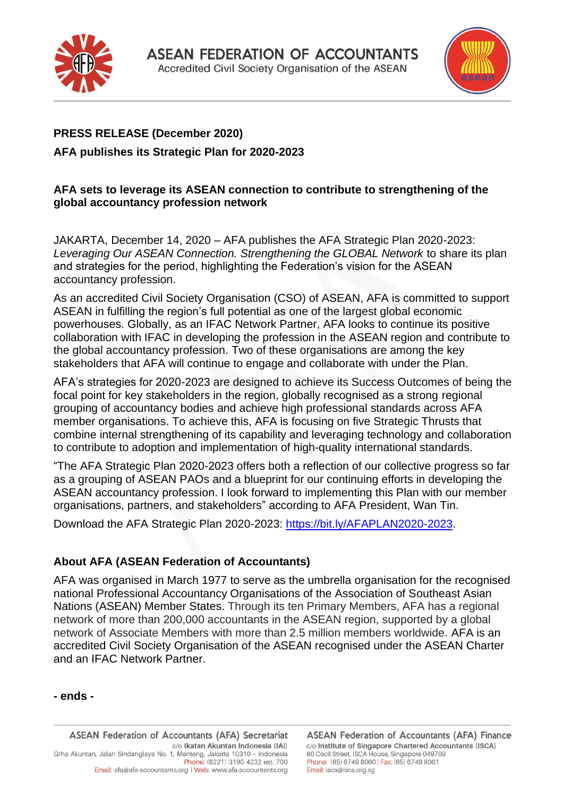



# **PRESS RELEASE (December 2020) AFA publishes its Strategic Plan for 2020-2023**

### **AFA sets to leverage its ASEAN connection to contribute to strengthening of the global accountancy profession network**

JAKARTA, December 14, 2020 – AFA publishes the AFA Strategic Plan 2020-2023: *Leveraging Our ASEAN Connection. Strengthening the GLOBAL Network* to share its plan and strategies for the period, highlighting the Federation's vision for the ASEAN accountancy profession.

As an accredited Civil Society Organisation (CSO) of ASEAN, AFA is committed to support ASEAN in fulfilling the region's full potential as one of the largest global economic powerhouses. Globally, as an IFAC Network Partner, AFA looks to continue its positive collaboration with IFAC in developing the profession in the ASEAN region and contribute to the global accountancy profession. Two of these organisations are among the key stakeholders that AFA will continue to engage and collaborate with under the Plan.

AFA's strategies for 2020-2023 are designed to achieve its Success Outcomes of being the focal point for key stakeholders in the region, globally recognised as a strong regional grouping of accountancy bodies and achieve high professional standards across AFA member organisations. To achieve this, AFA is focusing on five Strategic Thrusts that combine internal strengthening of its capability and leveraging technology and collaboration to contribute to adoption and implementation of high-quality international standards.

"The AFA Strategic Plan 2020-2023 offers both a reflection of our collective progress so far as a grouping of ASEAN PAOs and a blueprint for our continuing efforts in developing the ASEAN accountancy profession. I look forward to implementing this Plan with our member organisations, partners, and stakeholders" according to AFA President, Wan Tin.

Download the AFA Strategic Plan 2020-2023: [https://bit.ly/AFAPLAN2020-2023.](https://bit.ly/AFAPLAN2020-2023)

## **About AFA (ASEAN Federation of Accountants)**

AFA was organised in March 1977 to serve as the umbrella organisation for the recognised national Professional Accountancy Organisations of the Association of Southeast Asian Nations (ASEAN) Member States. Through its ten Primary Members, AFA has a regional network of more than 200,000 accountants in the ASEAN region, supported by a global network of Associate Members with more than 2.5 million members worldwide. AFA is an accredited Civil Society Organisation of the ASEAN recognised under the ASEAN Charter and an IFAC Network Partner.

#### **- ends -**